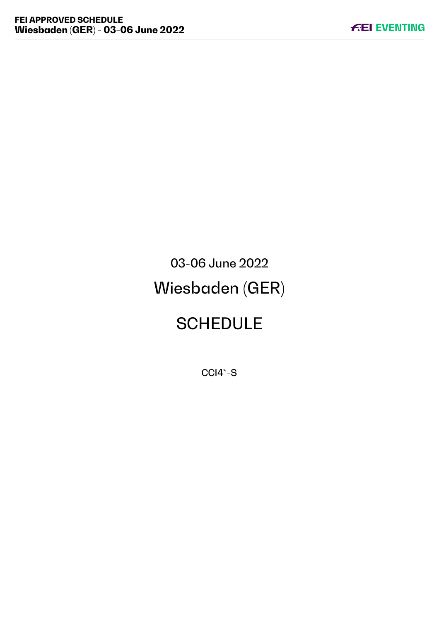# 03-06 June 2022 Wiesbaden (GER)

# **SCHEDULE**

CCI4\*-S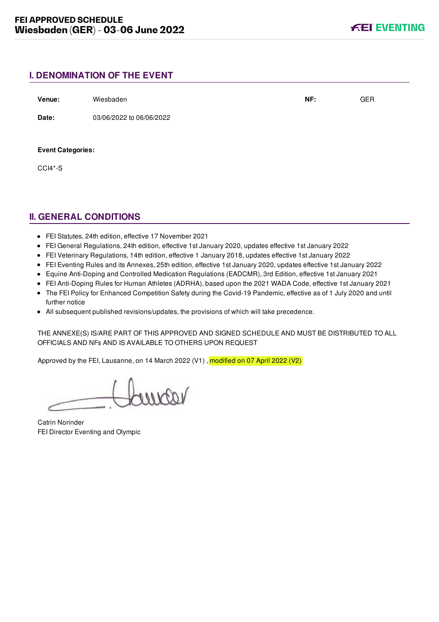## **I. DENOMINATION OF THE EVENT**

| Venue:                   | Wiesbaden                | NF: | <b>GER</b> |
|--------------------------|--------------------------|-----|------------|
| Date:                    | 03/06/2022 to 06/06/2022 |     |            |
| <b>Event Categories:</b> |                          |     |            |
| CCI4*-S                  |                          |     |            |

# **II. GENERAL CONDITIONS**

- FEI Statutes, 24th edition, effective 17 November 2021
- FEI General Regulations, 24th edition, effective 1st January 2020, updates effective 1st January 2022
- FEI Veterinary Regulations, 14th edition, effective 1 January 2018, updates effective 1st January 2022
- FEI Eventing Rules and its Annexes, 25th edition, effective 1st January 2020, updates effective 1st January 2022
- Equine Anti-Doping and Controlled Medication Regulations (EADCMR), 3rd Edition, effective 1st January 2021
- FEI Anti-Doping Rules for Human Athletes (ADRHA), based upon the 2021 WADA Code, effective 1st January 2021
- The FEI Policy for Enhanced Competition Safety during the Covid-19 Pandemic, effective as of 1 July 2020 and until further notice
- All subsequent published revisions/updates, the provisions of which will take precedence.

THE ANNEXE(S) IS/ARE PART OF THIS APPROVED AND SIGNED SCHEDULE AND MUST BE DISTRIBUTED TO ALL OFFICIALS AND NFs AND IS AVAILABLE TO OTHERS UPON REQUEST

Approved by the FEI, Lausanne, on 14 March 2022 (V1) , modified on 07 April 2022 (V2)

varior

Catrin Norinder FEI Director Eventing and Olympic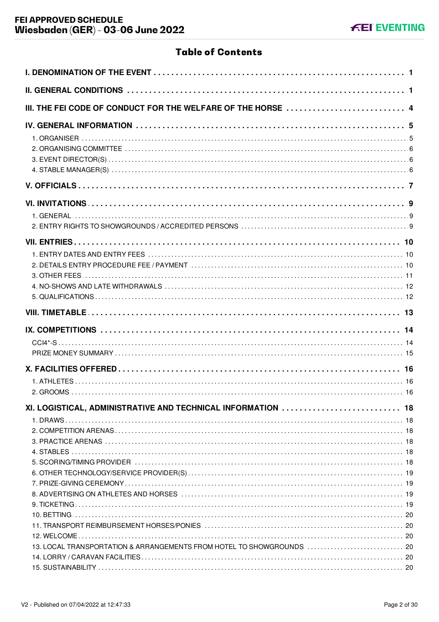# **Table of Contents**

| III. THE FEI CODE OF CONDUCT FOR THE WELFARE OF THE HORSE  4                                                                          |  |
|---------------------------------------------------------------------------------------------------------------------------------------|--|
|                                                                                                                                       |  |
|                                                                                                                                       |  |
|                                                                                                                                       |  |
|                                                                                                                                       |  |
|                                                                                                                                       |  |
|                                                                                                                                       |  |
|                                                                                                                                       |  |
|                                                                                                                                       |  |
|                                                                                                                                       |  |
| XI. LOGISTICAL, ADMINISTRATIVE AND TECHNICAL INFORMATION  18<br>13. LOCAL TRANSPORTATION & ARRANGEMENTS FROM HOTEL TO SHOWGROUNDS  20 |  |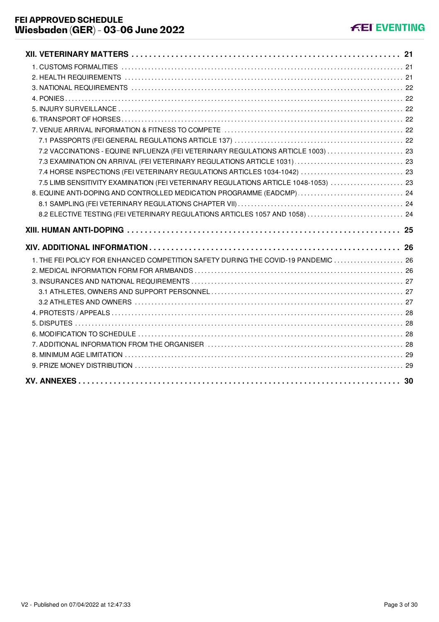| 7.2 VACCINATIONS - EQUINE INFLUENZA (FEI VETERINARY REGULATIONS ARTICLE 1003)  23   |  |
|-------------------------------------------------------------------------------------|--|
|                                                                                     |  |
|                                                                                     |  |
| 7.5 LIMB SENSITIVITY EXAMINATION (FEI VETERINARY REGULATIONS ARTICLE 1048-1053)  23 |  |
| 8. EQUINE ANTI-DOPING AND CONTROLLED MEDICATION PROGRAMME (EADCMP)  24              |  |
|                                                                                     |  |
| 8.2 ELECTIVE TESTING (FEI VETERINARY REGULATIONS ARTICLES 1057 AND 1058)  24        |  |
|                                                                                     |  |
|                                                                                     |  |
|                                                                                     |  |
| 1. THE FEI POLICY FOR ENHANCED COMPETITION SAFETY DURING THE COVID-19 PANDEMIC  26  |  |
|                                                                                     |  |
|                                                                                     |  |
|                                                                                     |  |
|                                                                                     |  |
|                                                                                     |  |
|                                                                                     |  |
|                                                                                     |  |
|                                                                                     |  |
|                                                                                     |  |
|                                                                                     |  |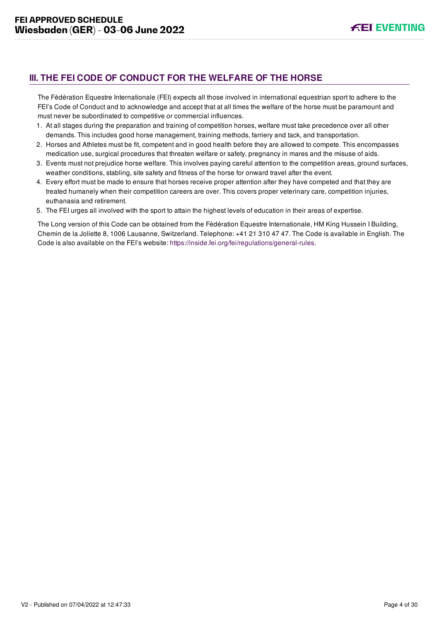# <span id="page-4-0"></span>**III. THE FEI CODE OF CONDUCT FOR THE WELFARE OF THE HORSE**

The Fédération Equestre Internationale (FEI) expects all those involved in international equestrian sport to adhere to the FEI's Code of Conduct and to acknowledge and accept that at all times the welfare of the horse must be paramount and must never be subordinated to competitive or commercial influences.

- 1. At all stages during the preparation and training of competition horses, welfare must take precedence over all other demands. This includes good horse management, training methods, farriery and tack, and transportation.
- 2. Horses and Athletes must be fit, competent and in good health before they are allowed to compete. This encompasses medication use, surgical procedures that threaten welfare or safety, pregnancy in mares and the misuse of aids.
- 3. Events must not prejudice horse welfare. This involves paying careful attention to the competition areas, ground surfaces, weather conditions, stabling, site safety and fitness of the horse for onward travel after the event.
- 4. Every effort must be made to ensure that horses receive proper attention after they have competed and that they are treated humanely when their competition careers are over. This covers proper veterinary care, competition injuries, euthanasia and retirement.
- 5. The FEI urges all involved with the sport to attain the highest levels of education in their areas of expertise.

The Long version of this Code can be obtained from the Fédération Equestre Internationale, HM King Hussein I Building, Chemin de la Joliette 8, 1006 Lausanne, Switzerland. Telephone: +41 21 310 47 47. The Code is available in English. The Code is also available on the FEI's website:<https://inside.fei.org/fei/regulations/general-rules>.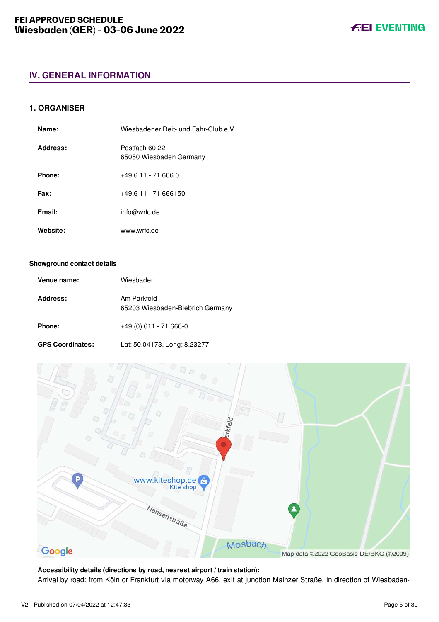## <span id="page-5-1"></span><span id="page-5-0"></span>**1. ORGANISER**

| Name:    | Wiesbadener Reit- und Fahr-Club e.V.      |
|----------|-------------------------------------------|
| Address: | Postfach 60 22<br>65050 Wiesbaden Germany |
| Phone:   | +49.6 11 - 71 666 0                       |
| Fax:     | +49.6 11 - 71 666150                      |
| Email:   | info@wrfc.de                              |
| Website: | www.wrfc.de                               |

#### **Showground contact details**

| Venue name: | Wiesbaden                                       |
|-------------|-------------------------------------------------|
| Address:    | Am Parkfeld<br>65203 Wiesbaden-Biebrich Germany |
| Phone:      | $+49(0)$ 611 - 71 666-0                         |

| <b>GPS Coordinates:</b> | Lat: 50.04173, Long: 8.23277 |
|-------------------------|------------------------------|
|-------------------------|------------------------------|



**Accessibility details (directions by road, nearest airport / train station):** Arrival by road: from Köln or Frankfurt via motorway A66, exit at junction Mainzer Straße, in direction of Wiesbaden-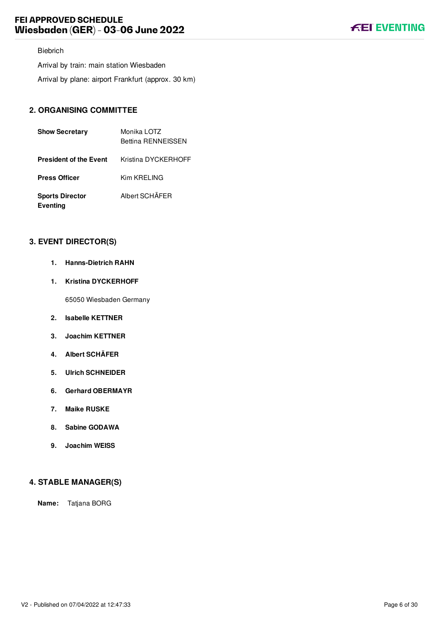## Biebrich

Arrival by train: main station Wiesbaden Arrival by plane: airport Frankfurt (approx. 30 km)

# <span id="page-6-0"></span>**2. ORGANISING COMMITTEE**

| <b>Show Secretary</b>                     | Monika LOTZ<br><b>Bettina RENNEISSEN</b> |
|-------------------------------------------|------------------------------------------|
| <b>President of the Event</b>             | Kristina DYCKERHOFF                      |
| <b>Press Officer</b>                      | Kim KRELING                              |
| <b>Sports Director</b><br><b>Eventing</b> | Albert SCHÄFER                           |

## <span id="page-6-1"></span>**3. EVENT DIRECTOR(S)**

- **1. Hanns-Dietrich RAHN**
- **1. Kristina DYCKERHOFF**

65050 Wiesbaden Germany

- **2. Isabelle KETTNER**
- **3. Joachim KETTNER**
- **4. Albert SCHÄFER**
- **5. Ulrich SCHNEIDER**
- **6. Gerhard OBERMAYR**
- **7. Maike RUSKE**
- **8. Sabine GODAWA**
- **9. Joachim WEISS**

## <span id="page-6-2"></span>**4. STABLE MANAGER(S)**

**Name:** Tatjana BORG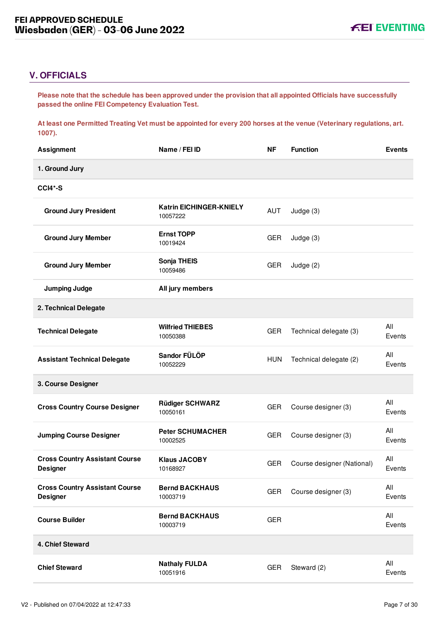# <span id="page-7-0"></span>**V. OFFICIALS**

**Please note that the schedule has been approved under the provision that all appointed Officials have successfully passed the online FEI Competency Evaluation Test.** 

**At least one Permitted Treating Vet must be appointed for every 200 horses at the venue (Veterinary regulations, art. 1007).**

| <b>Assignment</b>                                        | Name / FEI ID                              | <b>NF</b>  | <b>Function</b>            | <b>Events</b> |
|----------------------------------------------------------|--------------------------------------------|------------|----------------------------|---------------|
| 1. Ground Jury                                           |                                            |            |                            |               |
| <b>CCI4*-S</b>                                           |                                            |            |                            |               |
| <b>Ground Jury President</b>                             | <b>Katrin EICHINGER-KNIELY</b><br>10057222 | AUT        | Judge (3)                  |               |
| <b>Ground Jury Member</b>                                | <b>Ernst TOPP</b><br>10019424              | <b>GER</b> | Judge (3)                  |               |
| <b>Ground Jury Member</b>                                | Sonja THEIS<br>10059486                    | <b>GER</b> | Judge (2)                  |               |
| <b>Jumping Judge</b>                                     | All jury members                           |            |                            |               |
| 2. Technical Delegate                                    |                                            |            |                            |               |
| <b>Technical Delegate</b>                                | <b>Wilfried THIEBES</b><br>10050388        | <b>GER</b> | Technical delegate (3)     | All<br>Events |
| <b>Assistant Technical Delegate</b>                      | Sandor FÜLÖP<br>10052229                   | <b>HUN</b> | Technical delegate (2)     | All<br>Events |
| 3. Course Designer                                       |                                            |            |                            |               |
| <b>Cross Country Course Designer</b>                     | <b>Rüdiger SCHWARZ</b><br>10050161         | <b>GER</b> | Course designer (3)        | All<br>Events |
| <b>Jumping Course Designer</b>                           | <b>Peter SCHUMACHER</b><br>10002525        | <b>GER</b> | Course designer (3)        | All<br>Events |
| <b>Cross Country Assistant Course</b><br><b>Designer</b> | <b>Klaus JACOBY</b><br>10168927            | <b>GER</b> | Course designer (National) | All<br>Events |
| <b>Cross Country Assistant Course</b><br><b>Designer</b> | <b>Bernd BACKHAUS</b><br>10003719          | <b>GER</b> | Course designer (3)        | All<br>Events |
| <b>Course Builder</b>                                    | <b>Bernd BACKHAUS</b><br>10003719          | <b>GER</b> |                            | All<br>Events |
| 4. Chief Steward                                         |                                            |            |                            |               |
| <b>Chief Steward</b>                                     | <b>Nathaly FULDA</b><br>10051916           | <b>GER</b> | Steward (2)                | All<br>Events |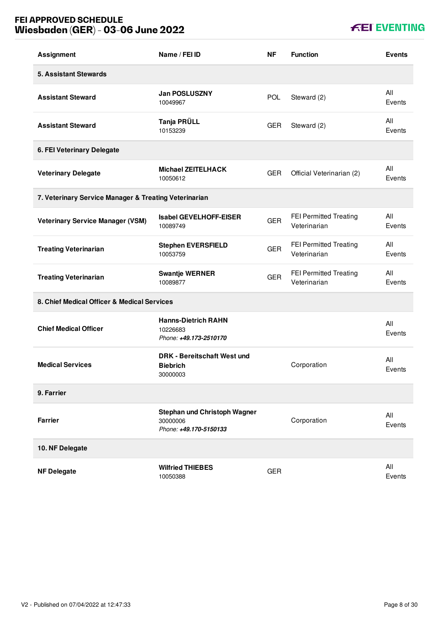# **FEI APPROVED SCHEDULE Wiesbaden (GER) - 03-06 June 2022**

| <b>Assignment</b>                                     | Name / FEI ID                                                             | <b>NF</b>  | <b>Function</b>                        | <b>Events</b> |
|-------------------------------------------------------|---------------------------------------------------------------------------|------------|----------------------------------------|---------------|
| <b>5. Assistant Stewards</b>                          |                                                                           |            |                                        |               |
| <b>Assistant Steward</b>                              | <b>Jan POSLUSZNY</b><br>10049967                                          | <b>POL</b> | Steward (2)                            | All<br>Events |
| <b>Assistant Steward</b>                              | Tanja PRÜLL<br>10153239                                                   | <b>GER</b> | Steward (2)                            | All<br>Events |
| 6. FEI Veterinary Delegate                            |                                                                           |            |                                        |               |
| <b>Veterinary Delegate</b>                            | <b>Michael ZEITELHACK</b><br>10050612                                     | <b>GER</b> | Official Veterinarian (2)              | All<br>Events |
| 7. Veterinary Service Manager & Treating Veterinarian |                                                                           |            |                                        |               |
| <b>Veterinary Service Manager (VSM)</b>               | <b>Isabel GEVELHOFF-EISER</b><br>10089749                                 | <b>GER</b> | FEI Permitted Treating<br>Veterinarian | All<br>Events |
| <b>Treating Veterinarian</b>                          | <b>Stephen EVERSFIELD</b><br>10053759                                     | <b>GER</b> | FEI Permitted Treating<br>Veterinarian | All<br>Events |
| <b>Treating Veterinarian</b>                          | <b>Swantje WERNER</b><br>10089877                                         | <b>GER</b> | FEI Permitted Treating<br>Veterinarian | All<br>Events |
| 8. Chief Medical Officer & Medical Services           |                                                                           |            |                                        |               |
| <b>Chief Medical Officer</b>                          | <b>Hanns-Dietrich RAHN</b><br>10226683<br>Phone: +49.173-2510170          |            |                                        | All<br>Events |
| <b>Medical Services</b>                               | <b>DRK - Bereitschaft West und</b><br><b>Biebrich</b><br>30000003         |            | Corporation                            | All<br>Events |
| 9. Farrier                                            |                                                                           |            |                                        |               |
| <b>Farrier</b>                                        | <b>Stephan und Christoph Wagner</b><br>30000006<br>Phone: +49.170-5150133 |            | Corporation                            | All<br>Events |
| 10. NF Delegate                                       |                                                                           |            |                                        |               |
| <b>NF Delegate</b>                                    | <b>Wilfried THIEBES</b><br>10050388                                       | <b>GER</b> |                                        | All<br>Events |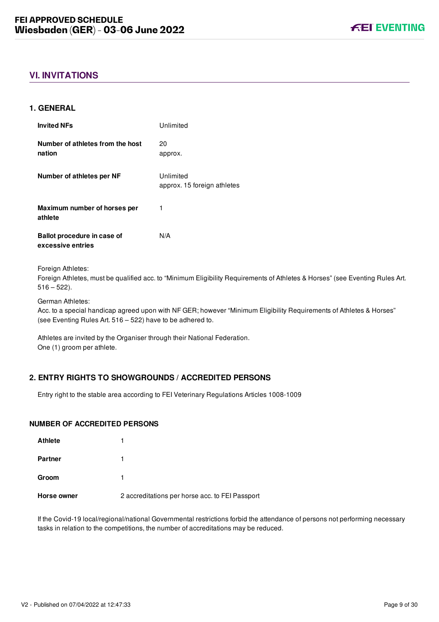# <span id="page-9-0"></span>**VI. INVITATIONS**

## <span id="page-9-1"></span>**1. GENERAL**

| <b>Invited NFs</b>                               | Unlimited                                |
|--------------------------------------------------|------------------------------------------|
| Number of athletes from the host<br>nation       | 20<br>approx.                            |
| Number of athletes per NF                        | Unlimited<br>approx. 15 foreign athletes |
| Maximum number of horses per<br>athlete          | 1                                        |
| Ballot procedure in case of<br>excessive entries | N/A                                      |

Foreign Athletes:

Foreign Athletes, must be qualified acc. to "Minimum Eligibility Requirements of Athletes & Horses" (see Eventing Rules Art.  $516 - 522$ ).

German Athletes:

Acc. to a special handicap agreed upon with NF GER; however "Minimum Eligibility Requirements of Athletes & Horses" (see Eventing Rules Art. 516 – 522) have to be adhered to.

Athletes are invited by the Organiser through their National Federation. One (1) groom per athlete.

## <span id="page-9-2"></span>**2. ENTRY RIGHTS TO SHOWGROUNDS / ACCREDITED PERSONS**

Entry right to the stable area according to FEI Veterinary Regulations Articles 1008-1009

#### **NUMBER OF ACCREDITED PERSONS**

| <b>Athlete</b> |                                                 |
|----------------|-------------------------------------------------|
| <b>Partner</b> |                                                 |
| Groom          |                                                 |
| Horse owner    | 2 accreditations per horse acc. to FEI Passport |

If the Covid-19 local/regional/national Governmental restrictions forbid the attendance of persons not performing necessary tasks in relation to the competitions, the number of accreditations may be reduced.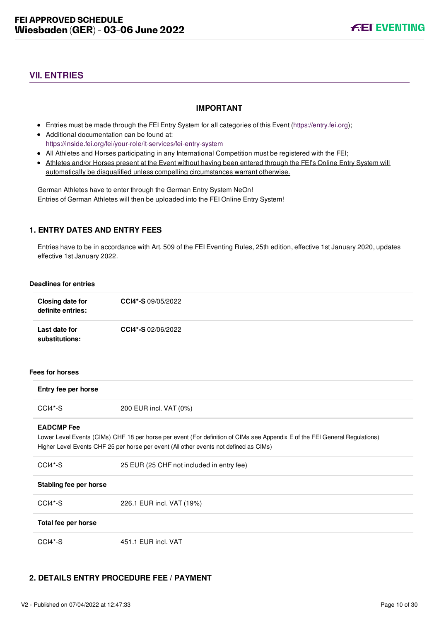# <span id="page-10-0"></span>**VII. ENTRIES**

## **IMPORTANT**

- Entries must be made through the FEI Entry System for all categories of this Event ([https://entry.fei.org\)](https://entry.fei.org);
- Additional documentation can be found at: <https://inside.fei.org/fei/your-role/it-services/fei-entry-system>
- All Athletes and Horses participating in any International Competition must be registered with the FEI;
- Athletes and/or Horses present at the Event without having been entered through the FEI's Online Entry System will automatically be disqualified unless compelling circumstances warrant otherwise.

German Athletes have to enter through the German Entry System NeOn! Entries of German Athletes will then be uploaded into the FEI Online Entry System!

## <span id="page-10-1"></span>**1. ENTRY DATES AND ENTRY FEES**

Entries have to be in accordance with Art. 509 of the FEI Eventing Rules, 25th edition, effective 1st January 2020, updates effective 1st January 2022.

#### **Deadlines for entries**

| <b>Closing date for</b><br>definite entries: | CCI4*-S 09/05/2022                                                                                                                                                                                                   |
|----------------------------------------------|----------------------------------------------------------------------------------------------------------------------------------------------------------------------------------------------------------------------|
| Last date for<br>substitutions:              | CCI4*-S 02/06/2022                                                                                                                                                                                                   |
| <b>Fees for horses</b>                       |                                                                                                                                                                                                                      |
| Entry fee per horse                          |                                                                                                                                                                                                                      |
| CCI4*-S                                      | 200 EUR incl. VAT (0%)                                                                                                                                                                                               |
| <b>EADCMP</b> Fee                            | Lower Level Events (CIMs) CHF 18 per horse per event (For definition of CIMs see Appendix E of the FEI General Regulations)<br>Higher Level Events CHF 25 per horse per event (All other events not defined as CIMs) |
| CCI4*-S                                      | 25 EUR (25 CHF not included in entry fee)                                                                                                                                                                            |
| Stabling fee per horse                       |                                                                                                                                                                                                                      |
| CCI4*-S                                      | 226.1 EUR incl. VAT (19%)                                                                                                                                                                                            |
| Total fee per horse                          |                                                                                                                                                                                                                      |
| CCI4*-S                                      | 451.1 EUR incl. VAT                                                                                                                                                                                                  |

## <span id="page-10-2"></span>**2. DETAILS ENTRY PROCEDURE FEE / PAYMENT**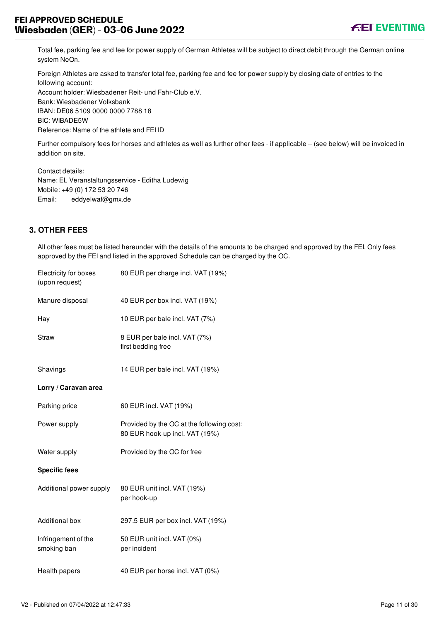Total fee, parking fee and fee for power supply of German Athletes will be subject to direct debit through the German online system NeOn.

Foreign Athletes are asked to transfer total fee, parking fee and fee for power supply by closing date of entries to the following account: Account holder: Wiesbadener Reit- und Fahr-Club e.V. Bank: Wiesbadener Volksbank

IBAN: DE06 5109 0000 0000 7788 18

BIC: WIBADE5W

Reference: Name of the athlete and FEI ID

Further compulsory fees for horses and athletes as well as further other fees - if applicable – (see below) will be invoiced in addition on site.

Contact details: Name: EL Veranstaltungsservice - Editha Ludewig Mobile: +49 (0) 172 53 20 746 Email: eddyelwaf@gmx.de

# <span id="page-11-0"></span>**3. OTHER FEES**

All other fees must be listed hereunder with the details of the amounts to be charged and approved by the FEI. Only fees approved by the FEI and listed in the approved Schedule can be charged by the OC.

| Electricity for boxes<br>(upon request) | 80 EUR per charge incl. VAT (19%)                                           |
|-----------------------------------------|-----------------------------------------------------------------------------|
| Manure disposal                         | 40 EUR per box incl. VAT (19%)                                              |
| Hay                                     | 10 EUR per bale incl. VAT (7%)                                              |
| <b>Straw</b>                            | 8 EUR per bale incl. VAT (7%)<br>first bedding free                         |
| Shavings                                | 14 EUR per bale incl. VAT (19%)                                             |
| Lorry / Caravan area                    |                                                                             |
| Parking price                           | 60 EUR incl. VAT (19%)                                                      |
| Power supply                            | Provided by the OC at the following cost:<br>80 EUR hook-up incl. VAT (19%) |
| Water supply                            | Provided by the OC for free                                                 |
| <b>Specific fees</b>                    |                                                                             |
| Additional power supply                 | 80 EUR unit incl. VAT (19%)<br>per hook-up                                  |
| <b>Additional box</b>                   | 297.5 EUR per box incl. VAT (19%)                                           |
| Infringement of the<br>smoking ban      | 50 EUR unit incl. VAT (0%)<br>per incident                                  |
| Health papers                           | 40 EUR per horse incl. VAT (0%)                                             |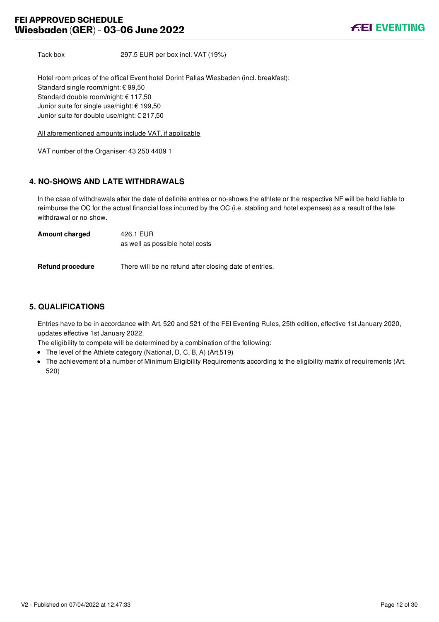Tack box 297.5 EUR per box incl. VAT (19%)

Hotel room prices of the offical Event hotel Dorint Pallas Wiesbaden (incl. breakfast): Standard single room/night: € 99,50 Standard double room/night: € 117,50 Junior suite for single use/night: € 199,50 Junior suite for double use/night: € 217,50

All aforementioned amounts include VAT, if applicable

VAT number of the Organiser: 43 250 4409 1

## <span id="page-12-0"></span>**4. NO-SHOWS AND LATE WITHDRAWALS**

In the case of withdrawals after the date of definite entries or no-shows the athlete or the respective NF will be held liable to reimburse the OC for the actual financial loss incurred by the OC (i.e. stabling and hotel expenses) as a result of the late withdrawal or no-show.

| <b>Amount charged</b>   | 426.1 EUR                                              |
|-------------------------|--------------------------------------------------------|
|                         | as well as possible hotel costs                        |
|                         |                                                        |
| <b>Refund procedure</b> | There will be no refund after closing date of entries. |

## <span id="page-12-1"></span>**5. QUALIFICATIONS**

Entries have to be in accordance with Art. 520 and 521 of the FEI Eventing Rules, 25th edition, effective 1st January 2020, updates effective 1st January 2022.

The eligibility to compete will be determined by a combination of the following:

- The level of the Athlete category (National, D, C, B, A) (Art.519)
- The achievement of a number of Minimum Eligibility Requirements according to the eligibility matrix of requirements (Art. 520)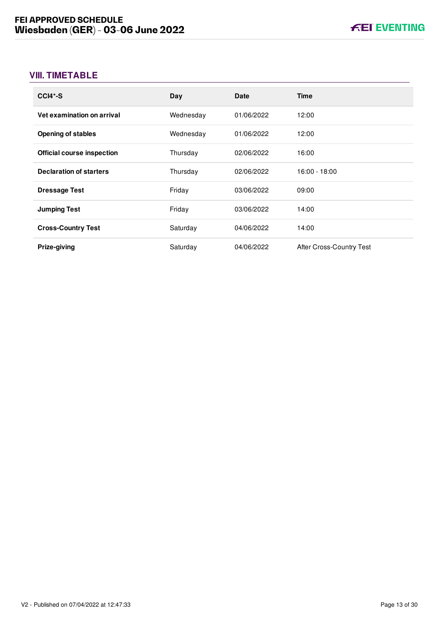# <span id="page-13-0"></span>**VIII. TIMETABLE**

| $CCI4*-S$                         | Day       | <b>Date</b> | <b>Time</b>              |
|-----------------------------------|-----------|-------------|--------------------------|
| Vet examination on arrival        | Wednesday | 01/06/2022  | 12:00                    |
| <b>Opening of stables</b>         | Wednesday | 01/06/2022  | 12:00                    |
| <b>Official course inspection</b> | Thursday  | 02/06/2022  | 16:00                    |
| <b>Declaration of starters</b>    | Thursday  | 02/06/2022  | $16:00 - 18:00$          |
| <b>Dressage Test</b>              | Friday    | 03/06/2022  | 09:00                    |
| <b>Jumping Test</b>               | Friday    | 03/06/2022  | 14:00                    |
| <b>Cross-Country Test</b>         | Saturday  | 04/06/2022  | 14:00                    |
| Prize-giving                      | Saturday  | 04/06/2022  | After Cross-Country Test |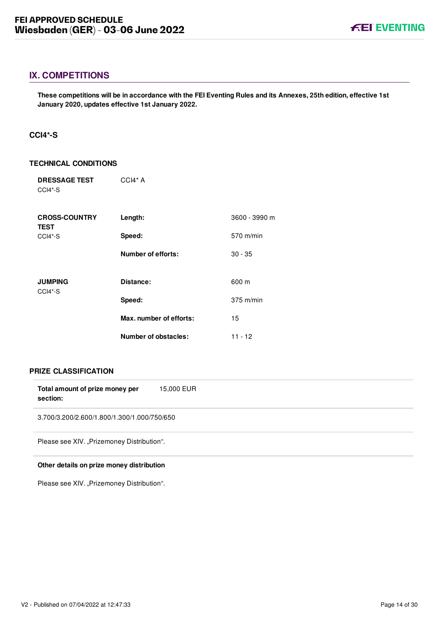## <span id="page-14-0"></span>**IX. COMPETITIONS**

**These competitions will be in accordance with the FEI Eventing Rules and its Annexes, 25th edition, effective 1st January 2020, updates effective 1st January 2022.**

## <span id="page-14-1"></span>**CCI4\*-S**

## **TECHNICAL CONDITIONS**

| <b>DRESSAGE TEST</b><br>CCI4*-S     | $CCH* A$                  |               |
|-------------------------------------|---------------------------|---------------|
| <b>CROSS-COUNTRY</b><br><b>TEST</b> | Length:                   | 3600 - 3990 m |
| CCI4*-S                             | Speed:                    | 570 m/min     |
|                                     | <b>Number of efforts:</b> | $30 - 35$     |
| <b>JUMPING</b>                      | Distance:                 | 600 m         |
| CCI4*-S                             | Speed:                    | $375$ m/min   |
|                                     | Max. number of efforts:   | 15            |
|                                     | Number of obstacles:      | $11 - 12$     |

## **PRIZE CLASSIFICATION**

| Total amount of prize money per<br>section: | 15,000 EUR |
|---------------------------------------------|------------|
| 3.700/3.200/2.600/1.800/1.300/1.000/750/650 |            |
| Please see XIV. "Prizemoney Distribution".  |            |

## **Other details on prize money distribution**

Please see XIV. "Prizemoney Distribution".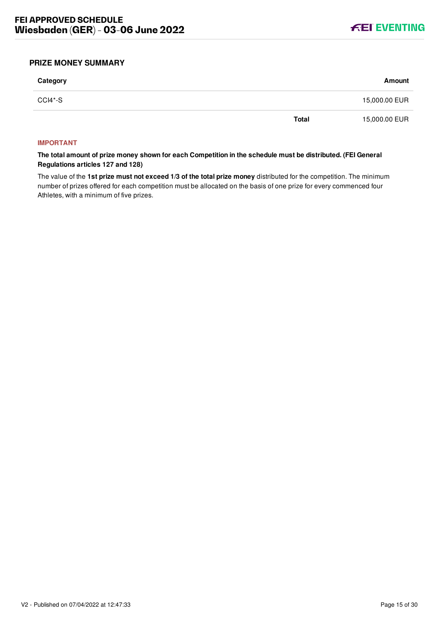

## <span id="page-15-0"></span>**PRIZE MONEY SUMMARY**

| Category |              | Amount        |
|----------|--------------|---------------|
| CCI4*-S  |              | 15,000.00 EUR |
|          | <b>Total</b> | 15,000.00 EUR |

#### **IMPORTANT**

**The total amount of prize money shown for each Competition in the schedule must be distributed. (FEI General Regulations articles 127 and 128)**

The value of the **1st prize must not exceed 1/3 of the total prize money** distributed for the competition. The minimum number of prizes offered for each competition must be allocated on the basis of one prize for every commenced four Athletes, with a minimum of five prizes.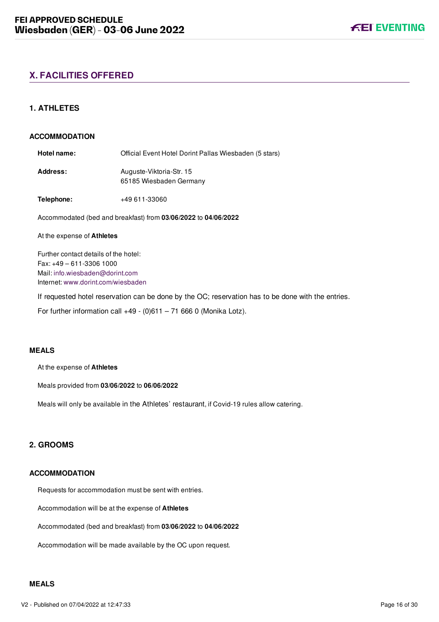# <span id="page-16-0"></span>**X. FACILITIES OFFERED**

## <span id="page-16-1"></span>**1. ATHLETES**

#### **ACCOMMODATION**

Hotel name: **Charlel Event Hotel Dorint Pallas Wiesbaden (5 stars)** Address: Auguste-Viktoria-Str. 15 65185 Wiesbaden Germany

**Telephone:** +49 611-33060

Accommodated (bed and breakfast) from **03/06/2022** to **04/06/2022**

#### At the expense of **Athletes**

Further contact details of the hotel: Fax: +49 – 611-3306 1000 Mail: [info.wiesbaden@dorint.com](mailto:info.wiesbaden@dorint.com) Internet: www.dorint.com/wiesbaden

If requested hotel reservation can be done by the OC; reservation has to be done with the entries.

For further information call  $+49$  - (0)611 – 71 666 0 (Monika Lotz).

#### **MEALS**

At the expense of **Athletes**

Meals provided from **03/06/2022** to **06/06/2022**

Meals will only be available in the Athletes' restaurant, if Covid-19 rules allow catering.

## <span id="page-16-2"></span>**2. GROOMS**

## **ACCOMMODATION**

Requests for accommodation must be sent with entries.

Accommodation will be at the expense of **Athletes**

Accommodated (bed and breakfast) from **03/06/2022** to **04/06/2022**

Accommodation will be made available by the OC upon request.

#### **MEALS**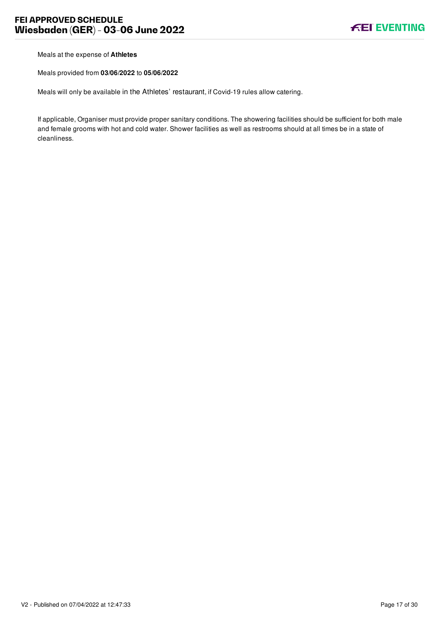Meals at the expense of **Athletes**

Meals provided from **03/06/2022** to **05/06/2022**

Meals will only be available in the Athletes' restaurant, if Covid-19 rules allow catering.

If applicable, Organiser must provide proper sanitary conditions. The showering facilities should be sufficient for both male and female grooms with hot and cold water. Shower facilities as well as restrooms should at all times be in a state of cleanliness.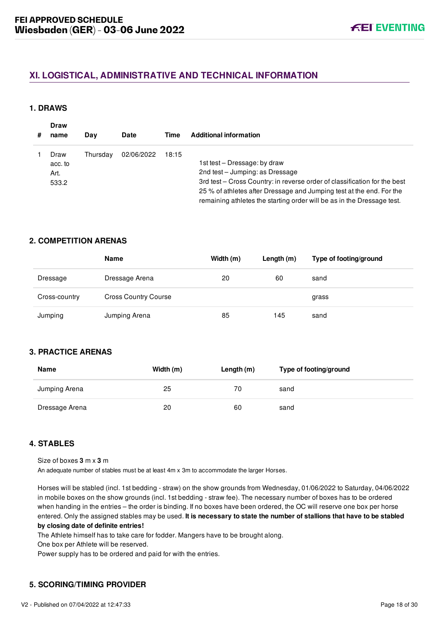# <span id="page-18-0"></span>**XI. LOGISTICAL, ADMINISTRATIVE AND TECHNICAL INFORMATION**

## <span id="page-18-1"></span>**1. DRAWS**

| # | <b>Draw</b><br>name              | Day      | <b>Date</b> | Time  | <b>Additional information</b>                                                                                                                                                                                                                                                                  |
|---|----------------------------------|----------|-------------|-------|------------------------------------------------------------------------------------------------------------------------------------------------------------------------------------------------------------------------------------------------------------------------------------------------|
|   | Draw<br>acc. to<br>Art.<br>533.2 | Thursdav | 02/06/2022  | 18:15 | 1st test – Dressage: by draw<br>2nd test - Jumping: as Dressage<br>3rd test - Cross Country: in reverse order of classification for the best<br>25 % of athletes after Dressage and Jumping test at the end. For the<br>remaining athletes the starting order will be as in the Dressage test. |

## <span id="page-18-2"></span>**2. COMPETITION ARENAS**

|               | Name                        | Width (m) | Length $(m)$ | Type of footing/ground |
|---------------|-----------------------------|-----------|--------------|------------------------|
| Dressage      | Dressage Arena              | 20        | 60           | sand                   |
| Cross-country | <b>Cross Country Course</b> |           |              | grass                  |
| Jumping       | Jumping Arena               | 85        | 145          | sand                   |

## <span id="page-18-3"></span>**3. PRACTICE ARENAS**

| <b>Name</b>    | Width (m) | Length $(m)$ | Type of footing/ground |
|----------------|-----------|--------------|------------------------|
| Jumping Arena  | 25        | 70           | sand                   |
| Dressage Arena | 20        | 60           | sand                   |

## <span id="page-18-4"></span>**4. STABLES**

Size of boxes **3** m x **3** m

An adequate number of stables must be at least 4m x 3m to accommodate the larger Horses.

Horses will be stabled (incl. 1st bedding - straw) on the show grounds from Wednesday, 01/06/2022 to Saturday, 04/06/2022 in mobile boxes on the show grounds (incl. 1st bedding - straw fee). The necessary number of boxes has to be ordered when handing in the entries – the order is binding. If no boxes have been ordered, the OC will reserve one box per horse entered. Only the assigned stables may be used. **It is necessary to state the number of stallions that have to be stabled by closing date of definite entries!**

The Athlete himself has to take care for fodder. Mangers have to be brought along.

One box per Athlete will be reserved.

Power supply has to be ordered and paid for with the entries.

## <span id="page-18-5"></span>**5. SCORING/TIMING PROVIDER**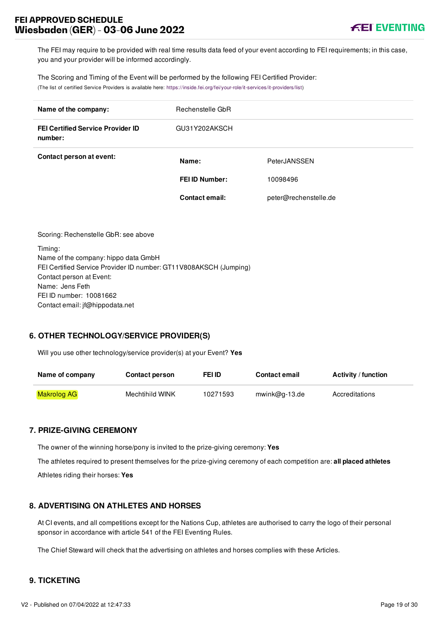# **FEI APPROVED SCHEDULE Wiesbaden (GER) - 03-06 June 2022**

The FEI may require to be provided with real time results data feed of your event according to FEI requirements; in this case, you and your provider will be informed accordingly.

The Scoring and Timing of the Event will be performed by the following FEI Certified Provider: (The list of certified Service Providers is available here: [https://inside.fei.org/fei/your-role/it-services/it-providers/list\)](https://inside.fei.org/fei/your-role/it-services/it-providers/list)

| Name of the company:                                | Rechenstelle GbR      |                       |
|-----------------------------------------------------|-----------------------|-----------------------|
| <b>FEI Certified Service Provider ID</b><br>number: | GU31Y202AKSCH         |                       |
| Contact person at event:                            | Name:                 | PeterJANSSEN          |
|                                                     | <b>FEI ID Number:</b> | 10098496              |
|                                                     | <b>Contact email:</b> | peter@rechenstelle.de |
|                                                     |                       |                       |

Scoring: Rechenstelle GbR: see above Timing: Name of the company: hippo data GmbH FEI Certified Service Provider ID number: GT11V808AKSCH (Jumping) Contact person at Event: Name: Jens Feth FEI ID number: 10081662 Contact email: jf@hippodata.net

## <span id="page-19-0"></span>**6. OTHER TECHNOLOGY/SERVICE PROVIDER(S)**

Will you use other technology/service provider(s) at your Event? **Yes**

| Name of company    | <b>Contact person</b> | FEI ID   | <b>Contact email</b> | <b>Activity / function</b> |
|--------------------|-----------------------|----------|----------------------|----------------------------|
| <b>Makrolog AG</b> | Mechtihild WINK       | 10271593 | $mwink@q-13.de$      | Accreditations             |

## <span id="page-19-1"></span>**7. PRIZE-GIVING CEREMONY**

The owner of the winning horse/pony is invited to the prize-giving ceremony: **Yes**

The athletes required to present themselves for the prize-giving ceremony of each competition are: **all placed athletes**

Athletes riding their horses: **Yes**

## <span id="page-19-2"></span>**8. ADVERTISING ON ATHLETES AND HORSES**

At CI events, and all competitions except for the Nations Cup, athletes are authorised to carry the logo of their personal sponsor in accordance with article 541 of the FEI Eventing Rules.

The Chief Steward will check that the advertising on athletes and horses complies with these Articles.

## <span id="page-19-3"></span>**9. TICKETING**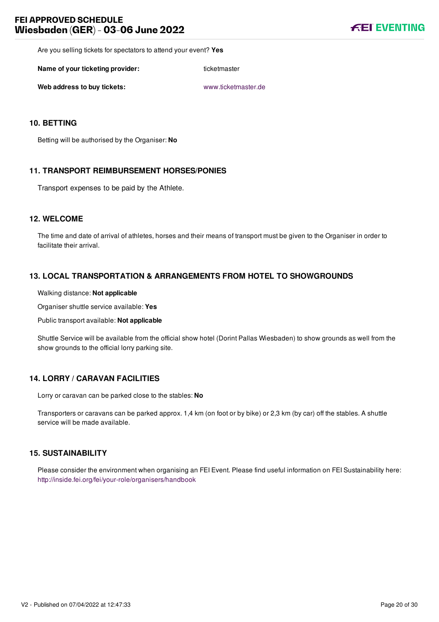Are you selling tickets for spectators to attend your event? **Yes**

**Name of your ticketing provider:** ticketmaster

**Web address to buy tickets:** [www.ticketmaster.de](file:///home/deployer/api-schedules/production/releases/43/symfony/public/www.ticketmaster.de)

## <span id="page-20-0"></span>**10. BETTING**

Betting will be authorised by the Organiser: **No**

## <span id="page-20-1"></span>**11. TRANSPORT REIMBURSEMENT HORSES/PONIES**

Transport expenses to be paid by the Athlete.

## <span id="page-20-2"></span>**12. WELCOME**

The time and date of arrival of athletes, horses and their means of transport must be given to the Organiser in order to facilitate their arrival.

## <span id="page-20-3"></span>**13. LOCAL TRANSPORTATION & ARRANGEMENTS FROM HOTEL TO SHOWGROUNDS**

#### Walking distance: **Not applicable**

Organiser shuttle service available: **Yes**

Public transport available: **Not applicable**

Shuttle Service will be available from the official show hotel (Dorint Pallas Wiesbaden) to show grounds as well from the show grounds to the official lorry parking site.

## <span id="page-20-4"></span>**14. LORRY / CARAVAN FACILITIES**

Lorry or caravan can be parked close to the stables: **No**

Transporters or caravans can be parked approx. 1,4 km (on foot or by bike) or 2,3 km (by car) off the stables. A shuttle service will be made available.

## <span id="page-20-5"></span>**15. SUSTAINABILITY**

Please consider the environment when organising an FEI Event. Please find useful information on FEI Sustainability here: <http://inside.fei.org/fei/your-role/organisers/handbook>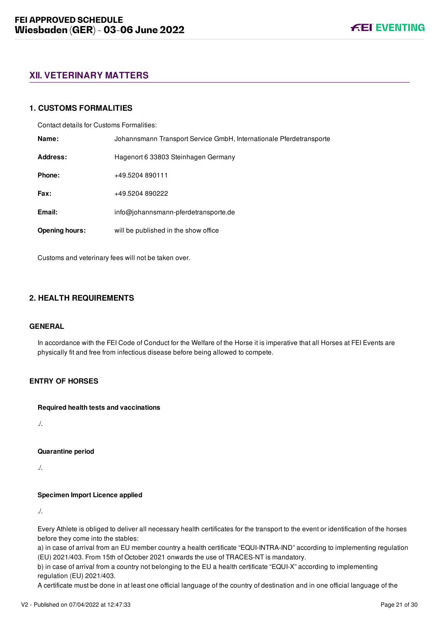## <span id="page-21-0"></span>**XII. VETERINARY MATTERS**

## <span id="page-21-1"></span>**1. CUSTOMS FORMALITIES**

Contact details for Customs Formalities:

| Name:                 | Johannsmann Transport Service GmbH, Internationale Pferdetransporte |  |
|-----------------------|---------------------------------------------------------------------|--|
| Address:              | Hagenort 6 33803 Steinhagen Germany                                 |  |
| Phone:                | +49.5204 890111                                                     |  |
| Fax:                  | +49.5204 890222                                                     |  |
| Email:                | info@johannsmann-pferdetransporte.de                                |  |
| <b>Opening hours:</b> | will be published in the show office                                |  |

Customs and veterinary fees will not be taken over.

## <span id="page-21-2"></span>**2. HEALTH REQUIREMENTS**

#### **GENERAL**

In accordance with the FEI Code of Conduct for the Welfare of the Horse it is imperative that all Horses at FEI Events are physically fit and free from infectious disease before being allowed to compete.

## **ENTRY OF HORSES**

**Required health tests and vaccinations**

./.

#### **Quarantine period**

./.

#### **Specimen Import Licence applied**

./.

Every Athlete is obliged to deliver all necessary health certificates for the transport to the event or identification of the horses before they come into the stables:

a) in case of arrival from an EU member country a health certificate "EQUI-INTRA-IND" according to implementing regulation (EU) 2021/403. From 15th of October 2021 onwards the use of TRACES-NT is mandatory.

b) in case of arrival from a country not belonging to the EU a health certificate "EQUI-X" according to implementing regulation (EU) 2021/403.

A certificate must be done in at least one official language of the country of destination and in one official language of the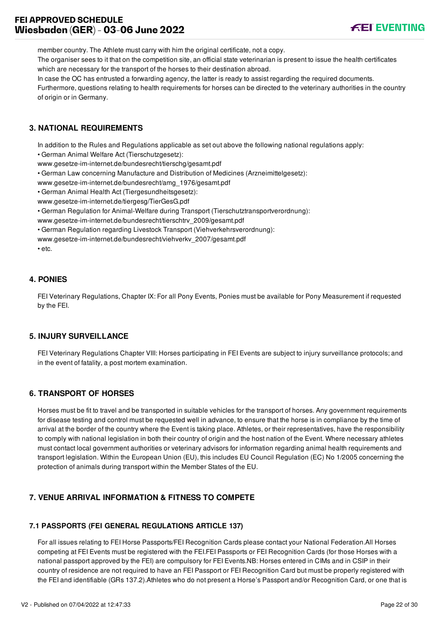# **FEI APPROVED SCHEDULE Wiesbaden (GER) - 03-06 June 2022**



member country. The Athlete must carry with him the original certificate, not a copy.

The organiser sees to it that on the competition site, an official state veterinarian is present to issue the health certificates which are necessary for the transport of the horses to their destination abroad.

In case the OC has entrusted a forwarding agency, the latter is ready to assist regarding the required documents.

Furthermore, questions relating to health requirements for horses can be directed to the veterinary authorities in the country of origin or in Germany.

## <span id="page-22-0"></span>**3. NATIONAL REQUIREMENTS**

In addition to the Rules and Regulations applicable as set out above the following national regulations apply:

• German Animal Welfare Act (Tierschutzgesetz):

www.gesetze-im-internet.de/bundesrecht/tierschg/gesamt.pdf

• German Law concerning Manufacture and Distribution of Medicines (Arzneimittelgesetz):

www.gesetze-im-internet.de/bundesrecht/amg\_1976/gesamt.pdf

• German Animal Health Act (Tiergesundheitsgesetz):

www.gesetze-im-internet.de/tiergesg/TierGesG.pdf

• German Regulation for Animal-Welfare during Transport (Tierschutztransportverordnung):

www.gesetze-im-internet.de/bundesrecht/tierschtrv\_2009/gesamt.pdf

• German Regulation regarding Livestock Transport (Viehverkehrsverordnung):

www.gesetze-im-internet.de/bundesrecht/viehverkv\_2007/gesamt.pdf

• etc.

## <span id="page-22-1"></span>**4. PONIES**

FEI Veterinary Regulations, Chapter IX: For all Pony Events, Ponies must be available for Pony Measurement if requested by the FEI.

## <span id="page-22-2"></span>**5. INJURY SURVEILLANCE**

FEI Veterinary Regulations Chapter VIII: Horses participating in FEI Events are subject to injury surveillance protocols; and in the event of fatality, a post mortem examination.

## <span id="page-22-3"></span>**6. TRANSPORT OF HORSES**

Horses must be fit to travel and be transported in suitable vehicles for the transport of horses. Any government requirements for disease testing and control must be requested well in advance, to ensure that the horse is in compliance by the time of arrival at the border of the country where the Event is taking place. Athletes, or their representatives, have the responsibility to comply with national legislation in both their country of origin and the host nation of the Event. Where necessary athletes must contact local government authorities or veterinary advisors for information regarding animal health requirements and transport legislation. Within the European Union (EU), this includes EU Council Regulation (EC) No 1/2005 concerning the protection of animals during transport within the Member States of the EU.

# <span id="page-22-4"></span>**7. VENUE ARRIVAL INFORMATION & FITNESS TO COMPETE**

## <span id="page-22-5"></span>**7.1 PASSPORTS (FEI GENERAL REGULATIONS ARTICLE 137)**

For all issues relating to FEI Horse Passports/FEI Recognition Cards please contact your National Federation.All Horses competing at FEI Events must be registered with the FEI.FEI Passports or FEI Recognition Cards (for those Horses with a national passport approved by the FEI) are compulsory for FEI Events.NB: Horses entered in CIMs and in CSIP in their country of residence are not required to have an FEI Passport or FEI Recognition Card but must be properly registered with the FEI and identifiable (GRs 137.2).Athletes who do not present a Horse's Passport and/or Recognition Card, or one that is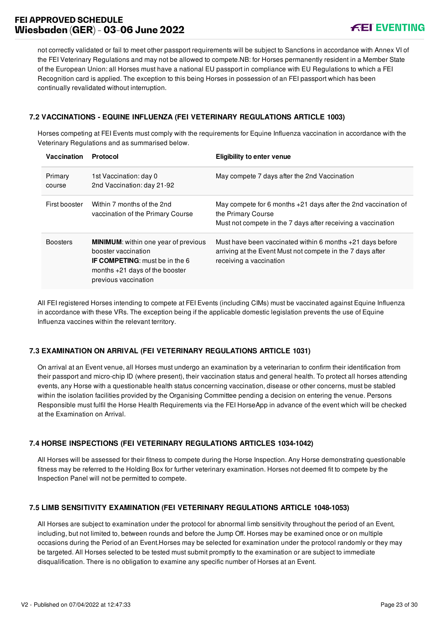not correctly validated or fail to meet other passport requirements will be subject to Sanctions in accordance with Annex VI of the FEI Veterinary Regulations and may not be allowed to compete.NB: for Horses permanently resident in a Member State of the European Union: all Horses must have a national EU passport in compliance with EU Regulations to which a FEI Recognition card is applied. The exception to this being Horses in possession of an FEI passport which has been continually revalidated without interruption.

## <span id="page-23-0"></span>**7.2 VACCINATIONS - EQUINE INFLUENZA (FEI VETERINARY REGULATIONS ARTICLE 1003)**

Horses competing at FEI Events must comply with the requirements for Equine Influenza vaccination in accordance with the Veterinary Regulations and as summarised below.

| Vaccination       | <b>Protocol</b>                                                                                                                                                         | <b>Eligibility to enter venue</b>                                                                                                                      |
|-------------------|-------------------------------------------------------------------------------------------------------------------------------------------------------------------------|--------------------------------------------------------------------------------------------------------------------------------------------------------|
| Primary<br>course | 1st Vaccination: day 0<br>2nd Vaccination: day 21-92                                                                                                                    | May compete 7 days after the 2nd Vaccination                                                                                                           |
| First booster     | Within 7 months of the 2nd<br>vaccination of the Primary Course                                                                                                         | May compete for 6 months $+21$ days after the 2nd vaccination of<br>the Primary Course<br>Must not compete in the 7 days after receiving a vaccination |
| <b>Boosters</b>   | <b>MINIMUM:</b> within one year of previous<br>booster vaccination<br><b>IF COMPETING:</b> must be in the 6<br>months $+21$ days of the booster<br>previous vaccination | Must have been vaccinated within 6 months +21 days before<br>arriving at the Event Must not compete in the 7 days after<br>receiving a vaccination     |

All FEI registered Horses intending to compete at FEI Events (including CIMs) must be vaccinated against Equine Influenza in accordance with these VRs. The exception being if the applicable domestic legislation prevents the use of Equine Influenza vaccines within the relevant territory.

## <span id="page-23-1"></span>**7.3 EXAMINATION ON ARRIVAL (FEI VETERINARY REGULATIONS ARTICLE 1031)**

On arrival at an Event venue, all Horses must undergo an examination by a veterinarian to confirm their identification from their passport and micro-chip ID (where present), their vaccination status and general health. To protect all horses attending events, any Horse with a questionable health status concerning vaccination, disease or other concerns, must be stabled within the isolation facilities provided by the Organising Committee pending a decision on entering the venue. Persons Responsible must fulfil the Horse Health Requirements via the FEI HorseApp in advance of the event which will be checked at the Examination on Arrival.

## <span id="page-23-2"></span>**7.4 HORSE INSPECTIONS (FEI VETERINARY REGULATIONS ARTICLES 1034-1042)**

All Horses will be assessed for their fitness to compete during the Horse Inspection. Any Horse demonstrating questionable fitness may be referred to the Holding Box for further veterinary examination. Horses not deemed fit to compete by the Inspection Panel will not be permitted to compete.

## <span id="page-23-3"></span>**7.5 LIMB SENSITIVITY EXAMINATION (FEI VETERINARY REGULATIONS ARTICLE 1048-1053)**

All Horses are subject to examination under the protocol for abnormal limb sensitivity throughout the period of an Event, including, but not limited to, between rounds and before the Jump Off. Horses may be examined once or on multiple occasions during the Period of an Event.Horses may be selected for examination under the protocol randomly or they may be targeted. All Horses selected to be tested must submit promptly to the examination or are subject to immediate disqualification. There is no obligation to examine any specific number of Horses at an Event.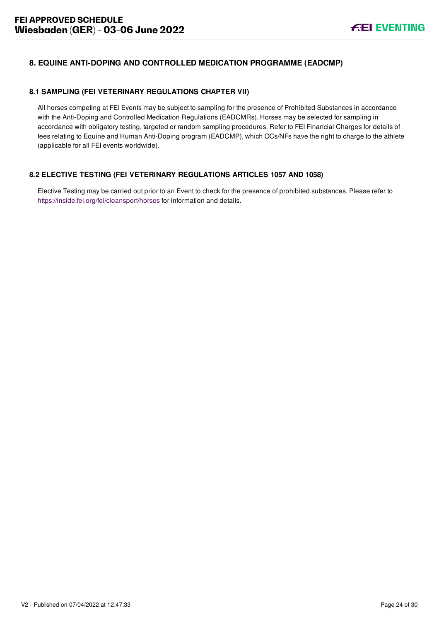# <span id="page-24-0"></span>**8. EQUINE ANTI-DOPING AND CONTROLLED MEDICATION PROGRAMME (EADCMP)**

# <span id="page-24-1"></span>**8.1 SAMPLING (FEI VETERINARY REGULATIONS CHAPTER VII)**

All horses competing at FEI Events may be subject to sampling for the presence of Prohibited Substances in accordance with the Anti-Doping and Controlled Medication Regulations (EADCMRs). Horses may be selected for sampling in accordance with obligatory testing, targeted or random sampling procedures. Refer to FEI Financial Charges for details of fees relating to Equine and Human Anti-Doping program (EADCMP), which OCs/NFs have the right to charge to the athlete (applicable for all FEI events worldwide).

# <span id="page-24-2"></span>**8.2 ELECTIVE TESTING (FEI VETERINARY REGULATIONS ARTICLES 1057 AND 1058)**

Elective Testing may be carried out prior to an Event to check for the presence of prohibited substances. Please refer to <https://inside.fei.org/fei/cleansport/horses>for information and details.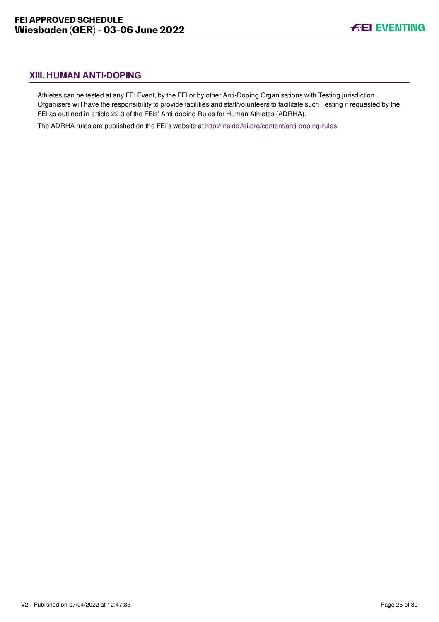# <span id="page-25-0"></span>**XIII. HUMAN ANTI-DOPING**

Athletes can be tested at any FEI Event, by the FEI or by other Anti-Doping Organisations with Testing jurisdiction. Organisers will have the responsibility to provide facilities and staff/volunteers to facilitate such Testing if requested by the FEI as outlined in article 22.3 of the FEIs' Anti-doping Rules for Human Athletes (ADRHA).

The ADRHA rules are published on the FEI's website at [http://inside.fei.org/content/anti-doping-rules.](http://inside.fei.org/content/anti-doping-rules)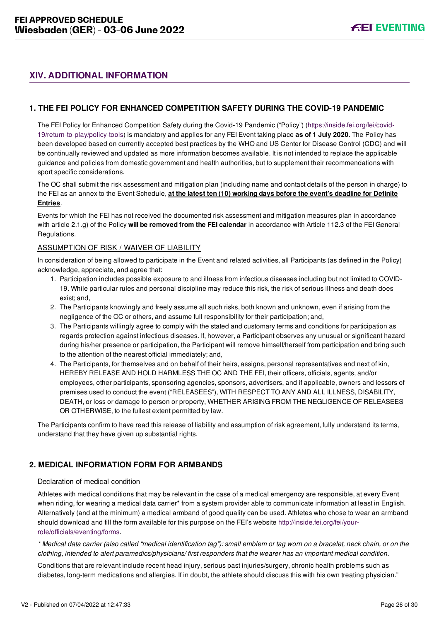# <span id="page-26-0"></span>**XIV. ADDITIONAL INFORMATION**

## <span id="page-26-1"></span>**1. THE FEI POLICY FOR ENHANCED COMPETITION SAFETY DURING THE COVID-19 PANDEMIC**

[The FEI Policy for Enhanced Competition Safety during the Covid-19 Pandemic \("Policy"\) \(https://inside.fei.org/fei/covid-](https://inside.fei.org/fei/covid-19/return-to-play/policy-tools)19/return-to-play/policy-tools) is mandatory and applies for any FEI Event taking place **as of 1 July 2020**. The Policy has been developed based on currently accepted best practices by the WHO and US Center for Disease Control (CDC) and will be continually reviewed and updated as more information becomes available. It is not intended to replace the applicable guidance and policies from domestic government and health authorities, but to supplement their recommendations with sport specific considerations.

The OC shall submit the risk assessment and mitigation plan (including name and contact details of the person in charge) to the FEI as an annex to the Event Schedule, **at the latest ten (10) working days before the event's deadline for Definite Entries**.

Events for which the FEI has not received the documented risk assessment and mitigation measures plan in accordance with article 2.1.g) of the Policy **will be removed from the FEI calendar** in accordance with Article 112.3 of the FEI General Regulations.

#### ASSUMPTION OF RISK / WAIVER OF LIABILITY

In consideration of being allowed to participate in the Event and related activities, all Participants (as defined in the Policy) acknowledge, appreciate, and agree that:

- 1. Participation includes possible exposure to and illness from infectious diseases including but not limited to COVID-19. While particular rules and personal discipline may reduce this risk, the risk of serious illness and death does exist; and,
- 2. The Participants knowingly and freely assume all such risks, both known and unknown, even if arising from the negligence of the OC or others, and assume full responsibility for their participation; and,
- 3. The Participants willingly agree to comply with the stated and customary terms and conditions for participation as regards protection against infectious diseases. If, however, a Participant observes any unusual or significant hazard during his/her presence or participation, the Participant will remove himself/herself from participation and bring such to the attention of the nearest official immediately; and,
- 4. The Participants, for themselves and on behalf of their heirs, assigns, personal representatives and next of kin, HEREBY RELEASE AND HOLD HARMLESS THE OC AND THE FEI, their officers, officials, agents, and/or employees, other participants, sponsoring agencies, sponsors, advertisers, and if applicable, owners and lessors of premises used to conduct the event ("RELEASEES"), WITH RESPECT TO ANY AND ALL ILLNESS, DISABILITY, DEATH, or loss or damage to person or property, WHETHER ARISING FROM THE NEGLIGENCE OF RELEASEES OR OTHERWISE, to the fullest extent permitted by law.

The Participants confirm to have read this release of liability and assumption of risk agreement, fully understand its terms, understand that they have given up substantial rights.

## <span id="page-26-2"></span>**2. MEDICAL INFORMATION FORM FOR ARMBANDS**

## Declaration of medical condition

Athletes with medical conditions that may be relevant in the case of a medical emergency are responsible, at every Event when riding, for wearing a medical data carrier\* from a system provider able to communicate information at least in English. Alternatively (and at the minimum) a medical armband of good quality can be used. Athletes who chose to wear an armband [should download and fill the form available for this purpose on the FEI's website http://inside.fei.org/fei/your](http://inside.fei.org/fei/your-role/officials/eventing/forms)role/officials/eventing/forms.

*\* Medical data carrier (also called "medical identification tag"): small emblem or tag worn on a bracelet, neck chain, or on the clothing, intended to alert paramedics/physicians/ first responders that the wearer has an important medical condition.*

Conditions that are relevant include recent head injury, serious past injuries/surgery, chronic health problems such as diabetes, long-term medications and allergies. If in doubt, the athlete should discuss this with his own treating physician."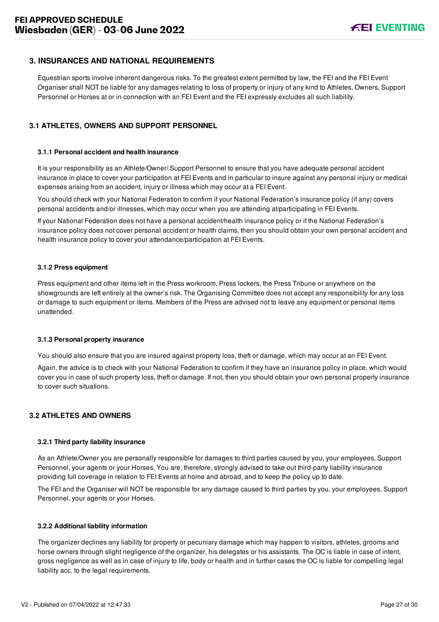## <span id="page-27-0"></span>**3. INSURANCES AND NATIONAL REQUIREMENTS**

Equestrian sports involve inherent dangerous risks. To the greatest extent permitted by law, the FEI and the FEI Event Organiser shall NOT be liable for any damages relating to loss of property or injury of any kind to Athletes, Owners, Support Personnel or Horses at or in connection with an FEI Event and the FEI expressly excludes all such liability.

## <span id="page-27-1"></span>**3.1 ATHLETES, OWNERS AND SUPPORT PERSONNEL**

#### **3.1.1 Personal accident and health insurance**

It is your responsibility as an Athlete/Owner/ Support Personnel to ensure that you have adequate personal accident insurance in place to cover your participation at FEI Events and in particular to insure against any personal injury or medical expenses arising from an accident, injury or illness which may occur at a FEI Event.

You should check with your National Federation to confirm if your National Federation's insurance policy (if any) covers personal accidents and/or illnesses, which may occur when you are attending at/participating in FEI Events.

If your National Federation does not have a personal accident/health insurance policy or if the National Federation's insurance policy does not cover personal accident or health claims, then you should obtain your own personal accident and health insurance policy to cover your attendance/participation at FEI Events.

#### **3.1.2 Press equipment**

Press equipment and other items left in the Press workroom, Press lockers, the Press Tribune or anywhere on the showgrounds are left entirely at the owner's risk. The Organising Committee does not accept any responsibility for any loss or damage to such equipment or items. Members of the Press are advised not to leave any equipment or personal items unattended.

#### **3.1.3 Personal property insurance**

You should also ensure that you are insured against property loss, theft or damage, which may occur at an FEI Event.

Again, the advice is to check with your National Federation to confirm if they have an insurance policy in place, which would cover you in case of such property loss, theft or damage. If not, then you should obtain your own personal property insurance to cover such situations.

### <span id="page-27-2"></span>**3.2 ATHLETES AND OWNERS**

#### **3.2.1 Third party liability insurance**

As an Athlete/Owner you are personally responsible for damages to third parties caused by you, your employees, Support Personnel, your agents or your Horses. You are, therefore, strongly advised to take out third-party liability insurance providing full coverage in relation to FEI Events at home and abroad, and to keep the policy up to date.

The FEI and the Organiser will NOT be responsible for any damage caused to third parties by you, your employees, Support Personnel, your agents or your Horses.

#### **3.2.2 Additional liability information**

The organizer declines any liability for property or pecuniary damage which may happen to visitors, athletes, grooms and horse owners through slight negligence of the organizer, his delegates or his assistants. The OC is liable in case of intent, gross negligence as well as in case of injury to life, body or health and in further cases the OC is liable for compelling legal liability acc. to the legal requirements.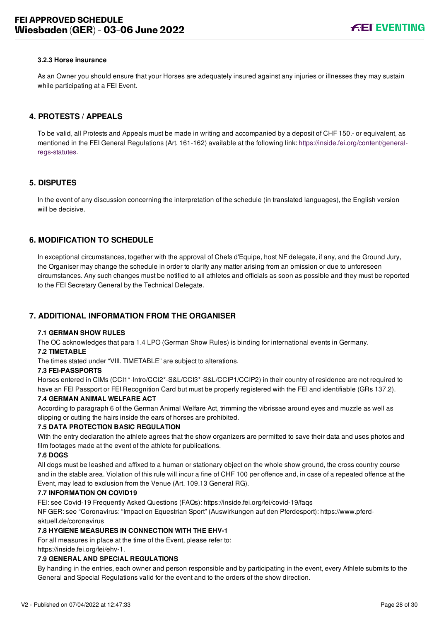#### **3.2.3 Horse insurance**

As an Owner you should ensure that your Horses are adequately insured against any injuries or illnesses they may sustain while participating at a FEI Event.

## <span id="page-28-0"></span>**4. PROTESTS / APPEALS**

To be valid, all Protests and Appeals must be made in writing and accompanied by a deposit of CHF 150.- or equivalent, as [mentioned in the FEI General Regulations \(Art. 161-162\) available at the following link: https://inside.fei.org/content/general](https://inside.fei.org/content/general-regs-statutes)regs-statutes.

## <span id="page-28-1"></span>**5. DISPUTES**

In the event of any discussion concerning the interpretation of the schedule (in translated languages), the English version will be decisive.

## <span id="page-28-2"></span>**6. MODIFICATION TO SCHEDULE**

In exceptional circumstances, together with the approval of Chefs d'Equipe, host NF delegate, if any, and the Ground Jury, the Organiser may change the schedule in order to clarify any matter arising from an omission or due to unforeseen circumstances. Any such changes must be notified to all athletes and officials as soon as possible and they must be reported to the FEI Secretary General by the Technical Delegate.

## <span id="page-28-3"></span>**7. ADDITIONAL INFORMATION FROM THE ORGANISER**

#### **7.1 GERMAN SHOW RULES**

The OC acknowledges that para 1.4 LPO (German Show Rules) is binding for international events in Germany. **7.2 TIMETABLE**

The times stated under "VIII. TIMETABLE" are subject to alterations.

#### **7.3 FEI-PASSPORTS**

Horses entered in CIMs (CCI1\*-Intro/CCI2\*-S&L/CCI3\*-S&L/CCIP1/CCIP2) in their country of residence are not required to have an FEI Passport or FEI Recognition Card but must be properly registered with the FEI and identifiable (GRs 137.2).

#### **7.4 GERMAN ANIMAL WELFARE ACT**

According to paragraph 6 of the German Animal Welfare Act, trimming the vibrissae around eyes and muzzle as well as clipping or cutting the hairs inside the ears of horses are prohibited.

#### **7.5 DATA PROTECTION BASIC REGULATION**

With the entry declaration the athlete agrees that the show organizers are permitted to save their data and uses photos and film footages made at the event of the athlete for publications.

#### **7.6 DOGS**

All dogs must be leashed and affixed to a human or stationary object on the whole show ground, the cross country course and in the stable area. Violation of this rule will incur a fine of CHF 100 per offence and, in case of a repeated offence at the Event, may lead to exclusion from the Venue (Art. 109.13 General RG).

#### **7.7 INFORMATION ON COVID19**

FEI: see Covid-19 Frequently Asked Questions (FAQs): https://inside.fei.org/fei/covid-19/faqs

NF GER: see "Coronavirus: "Impact on Equestrian Sport" (Auswirkungen auf den Pferdesport): https://www.pferdaktuell.de/coronavirus

#### **7.8 HYGIENE MEASURES IN CONNECTION WITH THE EHV-1**

For all measures in place at the time of the Event, please refer to: https://inside.fei.org/fei/ehv-1.

## **7.9 GENERAL AND SPECIAL REGULATIONS**

By handing in the entries, each owner and person responsible and by participating in the event, every Athlete submits to the General and Special Regulations valid for the event and to the orders of the show direction.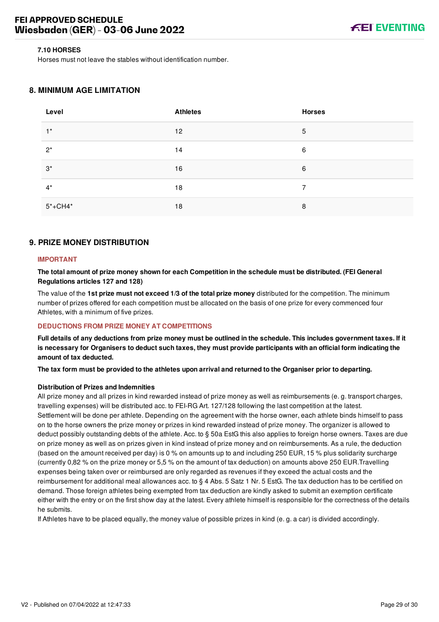#### **7.10 HORSES**

Horses must not leave the stables without identification number.

## <span id="page-29-0"></span>**8. MINIMUM AGE LIMITATION**

| Level       | <b>Athletes</b> | <b>Horses</b> |
|-------------|-----------------|---------------|
| $1^*$       | 12 <sup>°</sup> | 5             |
| $2^*$       | 14              | 6             |
| $3^*$       | 16              | 6             |
| $4^*$       | 18              | 7             |
| $5* + CH4*$ | 18              | 8             |

## <span id="page-29-1"></span>**9. PRIZE MONEY DISTRIBUTION**

## **IMPORTANT**

**The total amount of prize money shown for each Competition in the schedule must be distributed. (FEI General Regulations articles 127 and 128)**

The value of the **1st prize must not exceed 1/3 of the total prize money** distributed for the competition. The minimum number of prizes offered for each competition must be allocated on the basis of one prize for every commenced four Athletes, with a minimum of five prizes.

#### **DEDUCTIONS FROM PRIZE MONEY AT COMPETITIONS**

**Full details of any deductions from prize money must be outlined in the schedule. This includes government taxes. If it is necessary for Organisers to deduct such taxes, they must provide participants with an official form indicating the amount of tax deducted.**

**The tax form must be provided to the athletes upon arrival and returned to the Organiser prior to departing.**

#### **Distribution of Prizes and Indemnities**

All prize money and all prizes in kind rewarded instead of prize money as well as reimbursements (e. g. transport charges, travelling expenses) will be distributed acc. to FEI-RG Art. 127/128 following the last competition at the latest. Settlement will be done per athlete. Depending on the agreement with the horse owner, each athlete binds himself to pass on to the horse owners the prize money or prizes in kind rewarded instead of prize money. The organizer is allowed to deduct possibly outstanding debts of the athlete. Acc. to § 50a EstG this also applies to foreign horse owners. Taxes are due on prize money as well as on prizes given in kind instead of prize money and on reimbursements. As a rule, the deduction (based on the amount received per day) is 0 % on amounts up to and including 250 EUR, 15 % plus solidarity surcharge (currently 0,82 % on the prize money or 5,5 % on the amount of tax deduction) on amounts above 250 EUR.Travelling expenses being taken over or reimbursed are only regarded as revenues if they exceed the actual costs and the reimbursement for additional meal allowances acc. to § 4 Abs. 5 Satz 1 Nr. 5 EstG. The tax deduction has to be certified on demand. Those foreign athletes being exempted from tax deduction are kindly asked to submit an exemption certificate either with the entry or on the first show day at the latest. Every athlete himself is responsible for the correctness of the details he submits.

If Athletes have to be placed equally, the money value of possible prizes in kind (e. g. a car) is divided accordingly.